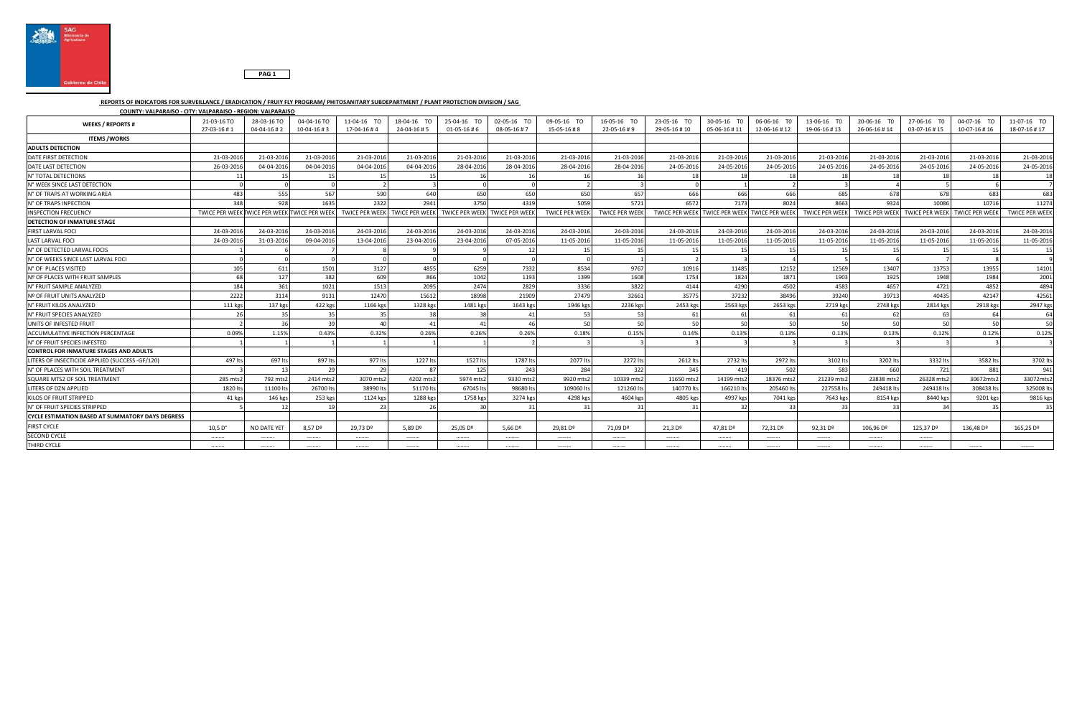

## **PAG 1**

## **REPORTS OF INDICATORS FOR SURVEILLANCE / ERADICATION / FRUIY FLY PROGRAM/ PHITOSANITARY SUBDEPARTMENT / PLANT PROTECTION DIVISION / SAG**

## **COUNTY: VALPARAISO - CITY: VALPARAISO - REGION: VALPARAISO**

| <b>WEEKS / REPORTS#</b>                                 | 21-03-16 TO                                  | 28-03-16 TO       | 04-04-16 TO         | 11-04-16 TO                              | 18-04-16 TO         | 25-04-16 TO                   | 02-05-16 TO         | 09-05-16 TO           | 16-05-16 TO           | 23-05-16 TO                                  | 30-05-16 TO          | 06-06-16 TO  | 13-06-16 TO           | 20-06-16 TO  | 27-06-16 TO                   | 04-07-16 TO           | 11-07-16 TO           |
|---------------------------------------------------------|----------------------------------------------|-------------------|---------------------|------------------------------------------|---------------------|-------------------------------|---------------------|-----------------------|-----------------------|----------------------------------------------|----------------------|--------------|-----------------------|--------------|-------------------------------|-----------------------|-----------------------|
|                                                         | 27-03-16#1                                   | $04 - 04 - 16$ #2 | $10 - 04 - 16 \# 3$ | 17-04-16#4                               | 24-04-16#5          | $01-05-16 \# 6$               | 08-05-16#7          | 15-05-16#8            | 22-05-16#9            | 29-05-16#10                                  | 05-06-16#11          | 12-06-16 #12 | 19-06-16 #13          | 26-06-16 #14 | 03-07-16 #15                  | 10-07-16 #16          | 18-07-16 #17          |
| <b>ITEMS /WORKS</b>                                     |                                              |                   |                     |                                          |                     |                               |                     |                       |                       |                                              |                      |              |                       |              |                               |                       |                       |
| <b>ADULTS DETECTION</b>                                 |                                              |                   |                     |                                          |                     |                               |                     |                       |                       |                                              |                      |              |                       |              |                               |                       |                       |
| DATE FIRST DETECTION                                    | 21-03-201                                    | 21-03-201         | 21-03-2016          | 21-03-2016                               | 21-03-2016          | 21-03-201                     | 21-03-2016          | 21-03-2016            | 21-03-2016            | 21-03-201                                    | 21-03-201            | 21-03-2016   | 21-03-2016            | 21-03-2016   | 21-03-2016                    | 21-03-2016            | 21-03-2016            |
| DATE LAST DETECTION                                     | 26-03-2016                                   | 04-04-2016        | 04-04-2016          | 04-04-2016                               | 04-04-2016          | 28-04-2016                    | 28-04-2016          | 28-04-2016            | 28-04-2016            | 24-05-201                                    | 24-05-201            | 24-05-2016   | 24-05-2016            | 24-05-2016   | 24-05-2016                    | 24-05-2016            | 24-05-2016            |
| N° TOTAL DETECTIONS                                     |                                              |                   | 15                  |                                          |                     |                               |                     |                       |                       |                                              |                      |              |                       |              |                               | 18                    | 18                    |
| N° WEEK SINCE LAST DETECTION                            |                                              |                   |                     |                                          |                     |                               |                     |                       |                       |                                              |                      |              |                       |              |                               |                       |                       |
| N° OF TRAPS AT WORKING AREA                             | 483                                          | 555               | 567                 | 590                                      | 640                 | 65C                           | 650                 | 650                   | 657                   | 666                                          | 666                  | 666          | 685                   | 678          | 678                           | 683                   | 683                   |
| N° OF TRAPS INPECTION                                   | 348                                          | 928               | 1635                | 2322                                     | 2941                | 3750                          | 4319                | 5059                  | 5721                  | 6572                                         | 7173                 | 8024         | 8663                  | 9324         | 10086                         | 10716                 | 11274                 |
| <b>INSPECTION FRECUENCY</b>                             | TWICE PER WEEK TWICE PER WEEK TWICE PER WEEK |                   |                     | TWICE PER WEEK TWICE PER WEEK            |                     | TWICE PER WEEK TWICE PER WEEK |                     | <b>TWICE PER WEEK</b> | <b>TWICE PER WEEK</b> | TWICE PER WEEK TWICE PER WEEK TWICE PER WEEK |                      |              | <b>TWICE PER WEEK</b> |              | TWICE PER WEEK TWICE PER WEEK | <b>TWICE PER WEEK</b> | <b>TWICE PER WEEK</b> |
| <b>DETECTION OF INMATURE STAGE</b>                      |                                              |                   |                     |                                          |                     |                               |                     |                       |                       |                                              |                      |              |                       |              |                               |                       |                       |
| FIRST LARVAL FOCI                                       | 24-03-2016                                   | 24-03-2016        | 24-03-2016          | 24-03-2016                               | 24-03-2016          | 24-03-2016                    | 24-03-2016          | 24-03-2016            | 24-03-2016            | 24-03-2016                                   | 24-03-201            | 24-03-2016   | 24-03-2016            | 24-03-2016   | 24-03-2016                    | 24-03-2016            | 24-03-2016            |
| <b>LAST LARVAL FOCI</b>                                 | 24-03-2016                                   | 31-03-2016        | 09-04-2016          | 13-04-2016                               | 23-04-2016          | 23-04-2016                    | 07-05-2016          | 11-05-2016            | 11-05-2016            | 11-05-2016                                   | 11-05-201            | 11-05-2016   | 11-05-2016            | 11-05-2016   | 11-05-2016                    | 11-05-2016            | 11-05-2016            |
| N° OF DETECTED LARVAL FOCIS                             |                                              |                   |                     |                                          |                     |                               |                     |                       |                       |                                              |                      |              |                       |              |                               |                       |                       |
| N° OF WEEKS SINCE LAST LARVAL FOCI                      |                                              |                   |                     |                                          |                     |                               |                     |                       |                       |                                              |                      |              |                       |              |                               |                       |                       |
| N° OF PLACES VISITED                                    | 105                                          | 611               | 1501                | 3127                                     | 4855                | 6259                          | 7332                | 8534                  | 9767                  | 10916                                        | 11485                | 12152        | 12569                 | 13407        | 13753                         | 13955                 | 14101                 |
| Nº OF PLACES WITH FRUIT SAMPLES                         | 68                                           | 127               | 382                 | 609                                      | 866                 | 1042                          | 1193                | 1399                  | 1608                  | 1754                                         | 1824                 | 1871         | 1903                  | 1925         | 1948                          | 1984                  | 2001                  |
| N° FRUIT SAMPLE ANALYZED                                | 184                                          | 361               | 1021                | 1513                                     | 2095                | 2474                          | 2829                | 3336                  | 3822                  | 4144                                         | 4290                 | 4502         | 4583                  | 4657         | 4721                          | 4852                  | 4894                  |
| Nº OF FRUIT UNITS ANALYZED                              | 2222                                         | 3114              | 9131                | 12470                                    | 15612               | 18998                         | 21909               | 27479                 | 32661                 | 35775                                        | 37232                | 38496        | 39240                 | 39713        | 40435                         | 42147                 | 42561                 |
| N° FRUIT KILOS ANALYZED                                 | 111 kgs                                      | 137 kgs           | 422 kgs             | 1166 kgs                                 | 1328 kgs            | 1481 kgs                      | 1643 kgs            | 1946 kgs              | 2236 kgs              | 2453 kgs                                     | 2563 kgs             | 2653 kgs     | 2719 kgs              | 2748 kgs     | 2814 kgs                      | 2918 kgs              | 2947 kgs              |
| N° FRUIT SPECIES ANALYZED                               |                                              | 35                | 35                  |                                          | 38                  |                               |                     |                       |                       |                                              | - 61                 | 61           | 61                    |              |                               | 64                    |                       |
| UNITS OF INFESTED FRUIT                                 |                                              | 36                | 2 <sub>c</sub>      | $\Lambda$ <sup><math>\Omega</math></sup> | 41                  |                               |                     | 50                    | 50                    | 50                                           | 50                   | 50           | 50                    | 50           |                               | 50                    | 50                    |
| ACCUMULATIVE INFECTION PERCENTAGE                       | 0.09%                                        | 1.15%             | 0.43%               | 0.32%                                    | 0.26%               | 0.26%                         | 0.26%               | 0.18%                 | 0.15%                 | 0.14%                                        | 0.13%                | 0.13%        | 0.13%                 | 0.13%        | 0.12%                         | 0.12%                 | 0.12%                 |
| N° OF FRUIT SPECIES INFESTED                            |                                              |                   |                     |                                          |                     |                               |                     |                       |                       |                                              |                      |              |                       |              |                               |                       |                       |
| <b>CONTROL FOR INMATURE STAGES AND ADULTS</b>           |                                              |                   |                     |                                          |                     |                               |                     |                       |                       |                                              |                      |              |                       |              |                               |                       |                       |
| LITERS OF INSECTICIDE APPLIED (SUCCESS -GF/120)         | 497 lts                                      | 697 lts           | 897 lts             | 977 lts                                  | 1227 lts            | 1527 lt:                      | 1787 lts            | 2077 lts              | 2272 lts              | 2612 lts                                     | 2732 lt              | 2972 lts     | 3102 lts              | 3202 lts     | 3332 lts                      | 3582 lts              | 3702 lts              |
| N° OF PLACES WITH SOIL TREATMENT                        |                                              | 13                | 29                  | 29                                       | -87                 | 125                           | 243                 | 284                   | 322                   | 345                                          | 419                  | 502          | 583                   | 660          | 721                           | 881                   | 941                   |
| SQUARE MTS2 OF SOIL TREATMENT                           | 285 mts2                                     | 792 mts2          | 2414 mts2           | 3070 mts2                                | 4202 mts2           | 5974 mts2                     | 9330 mts2           | 9920 mts2             | 10339 mts.            | 11650 mts.                                   | 14199 mts            | 18376 mts2   | 21239 mts2            | 23838 mts.   | 26328 mts2                    | 30672mts2             | 33072mts2             |
| LITERS OF DZN APPLIED                                   | 1820 lt                                      | 11100 lts         | 26700 lts           | 38990 lt:                                | 51170 lts           | 67045 lt                      | 98680 lts           | 109060 lt             | 121260 lt             | 140770 lt                                    | 166210 lt            | 205460 lts   | 227558 lts            | 249418 lts   | 249418 lt                     | 308438 lts            | 325008 lts            |
| KILOS OF FRUIT STRIPPED                                 | 41 kgs                                       | 146 kgs           | 253 kgs             | 1124 kgs                                 | 1288 kgs            | 1758 kg                       | 3274 kgs            | 4298 kgs              | 4604 kgs              | 4805 kgs                                     | 4997 kgs             | 7041 kgs     | 7643 kgs              | 8154 kgs     | 8440 kgs                      | 9201 kgs              | 9816 kgs              |
| N° OF FRUIT SPECIES STRIPPED                            |                                              |                   |                     |                                          |                     |                               |                     |                       |                       |                                              |                      |              |                       |              |                               | $\mathcal{R}$         | 35                    |
| <b>CYCLE ESTIMATION BASED AT SUMMATORY DAYS DEGRESS</b> |                                              |                   |                     |                                          |                     |                               |                     |                       |                       |                                              |                      |              |                       |              |                               |                       |                       |
| <b>FIRST CYCLE</b>                                      | $10,5$ D°                                    | NO DATE YET       | 8,57 D <sup>o</sup> | 29,73 Dº                                 | 5,89 D <sup>o</sup> | 25,05 D <sup>o</sup>          | 5.66 D <sup>o</sup> | 29,81 Dº              | 71,09 Dº              | 21,3 D <sup>o</sup>                          | 47,81 D <sup>o</sup> | 72,31 Dº     | 92,31 Dº              | 106,96 Dº    | 125,37 Dº                     | 136,48 D <sup>o</sup> | 165,25 Dº             |
| <b>SECOND CYCLE</b>                                     |                                              |                   |                     |                                          |                     |                               |                     |                       |                       |                                              |                      |              |                       |              |                               |                       |                       |
| THIRD CYCLE                                             |                                              |                   |                     |                                          |                     |                               |                     |                       |                       |                                              |                      |              |                       |              |                               |                       |                       |